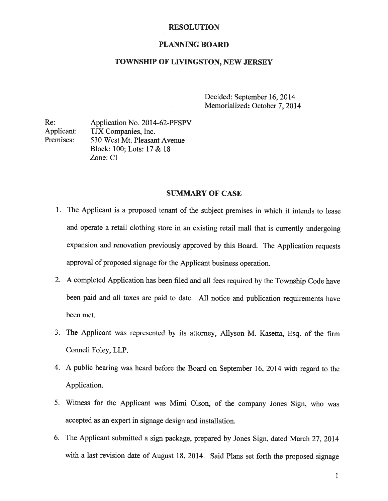#### RESOLUTION

## PLANNING BOARD

## TOWNSHIP OF LIVINGSTON, NEW JERSEY

Decided: September 16, 2014 Memorialized: October 7, 2014

Re: Application No. 2014-62-PFSPV Applicant: TJX Companies, Inc. Premises: 530 West Mt. Pleasant Avenue Block: 100; Lots: 17 & 18 Zone: CI

## SUMMARY OF CASE

- 1. The Applicant is <sup>a</sup> proposed tenant of the subject premises in which it intends to lease and operate <sup>a</sup> retail clothing store in an existing retail mall that is currently undergoing expansion and renovation previously approved by this Board. The Application requests approval of proposed signage for the Applicant business operation.
- 2. <sup>A</sup> completed Application has been filed and all fees required by the Township Code have been paid and all taxes are paid to date. All notice and publication requirements have been met.
- 3. The Applicant was represented by its attorney, Allyson M. Kasetta, Esq. of the firm Connell Foley, LLP.
- 4. <sup>A</sup> public hearing was heard before the Board on September 16, <sup>2014</sup> with regard to the Application.
- 5. Witness for the Applicant was Mimi Olson, of the company Jones Sign, who was accepted as an expert in signage design and installation.
- 6. The Applicant submitted <sup>a</sup> sign package, prepared by Jones Sign, dated March 27, <sup>2014</sup> with <sup>a</sup> last revision date of August 18, 2014. Said Plans set forth the proposed signage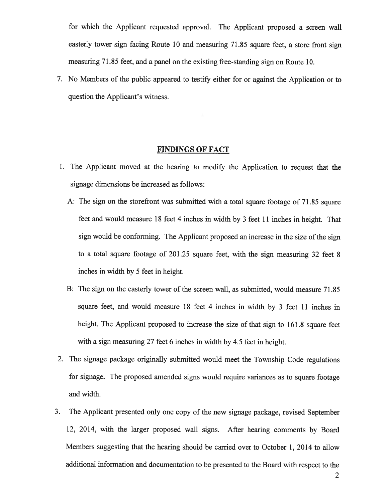for which the Applicant requested approval. The Applicant proposed <sup>a</sup> screen wall easterly tower sign facing Route <sup>10</sup> and measuring 71.85 square feet, <sup>a</sup> store front sign measuring 71.85 feet, and <sup>a</sup> panel on the existing free-standing sign on Route 10.

7. No Members of the public appeared to testify either for or against the Application or to question the Applicant's witness.

#### FINDINGS OF FACT

- 1. The Applicant moved at the hearing to modify the Application to reques<sup>t</sup> that the signage dimensions be increased as follows:
	- A: The sign on the storefront was submitted with <sup>a</sup> total square footage of 71.85 square feet and would measure <sup>18</sup> feet <sup>4</sup> inches in width by <sup>3</sup> feet <sup>11</sup> inches in height. That sign would be conforming. The Applicant proposed an increase in the size of the sign to <sup>a</sup> total square footage of 201.25 square feet, with the sign measuring 32 feet 8 inches in width by 5 feet in height.
	- B: The sign on the easterly tower of the screen wall, as submitted, would measure 71.85 square feet, and would measure <sup>18</sup> feet <sup>4</sup> inches in width by <sup>3</sup> feet <sup>11</sup> inches in height. The Applicant propose<sup>d</sup> to increase the size of that sign to 161.8 square feet with <sup>a</sup> sign measuring <sup>27</sup> feet <sup>6</sup> inches in width by 4.5 feet in height.
- 2. The signage package originally submitted would meet the Township Code regulations for signage. The propose<sup>d</sup> amended signs would require variances as to square footage and width.
- 3. The Applicant presented only one copy of the new signage package, revised September 12, 2014, with the larger propose<sup>d</sup> wall signs. After hearing comments by Board Members suggesting that the hearing should be carried over to October 1, 2014 to allow additional information and documentation to be presented to the Board with respec<sup>t</sup> to the

2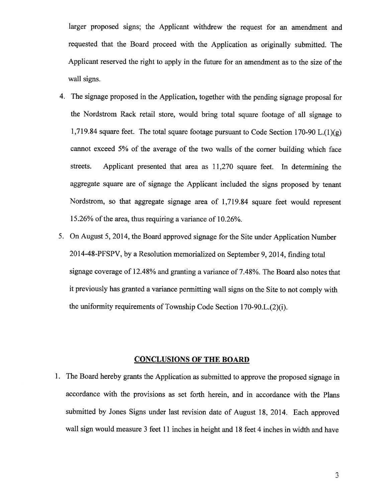larger proposed signs; the Applicant withdrew the reques<sup>t</sup> for an amendment and requested that the Board procee<sup>d</sup> with the Application as originally submitted. The Applicant reserved the right to apply in the future for an amendment as to the size of the wall signs.

- 4. The signage propose<sup>d</sup> in the Application, together with the pending signage proposa<sup>l</sup> for the Nordstrom Rack retail store, would bring total square footage of all signage to 1,719.84 square feet. The total square footage pursuant to Code Section 170-90 L. $(1)(g)$ cannot exceed 5% of the average of the two walls of the corner building which face streets. Applicant presented that area as 11,270 square feet. In determining the aggregate square are of signage the Applicant included the signs propose<sup>d</sup> by tenant Nordstrom, so that aggregate signage area of 1,719.84 square feet would represen<sup>t</sup> 15.26% of the area, thus requiring <sup>a</sup> variance of 10.26%.
- 5. On August 5, 2014, the Board approve<sup>d</sup> signage for the Site under Application Number 2014-48-PFSPV, by <sup>a</sup> Resolution memorialized on September 9, 2014, finding total signage coverage of 12.48% and granting <sup>a</sup> variance of 7.48%. The Board also notes that it previously has granted <sup>a</sup> variance permitting wall signs on the Site to not comply with the uniformity requirements of Township Code Section 170-90.L.(2)(i).

# CONCLUSIONS OF THE BOARD

1. The Board hereby grants the Application as submitted to approve the propose<sup>d</sup> signage in accordance with the provisions as set forth herein, and in accordance with the Plans submitted by Jones Signs under last revision date of August 18, 2014. Each approve<sup>d</sup> wall sign would measure <sup>3</sup> feet <sup>11</sup> inches in height and <sup>18</sup> feet <sup>4</sup> inches in width and have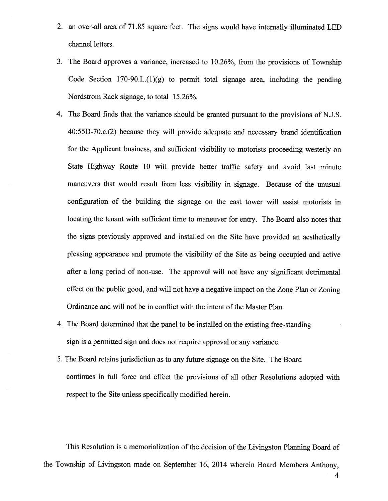- 2. an over-all area of 71.85 square feet. The signs would have internally illuminated LED channel letters.
- 3. The Board approves <sup>a</sup> variance, increased to 10.26%, from the provisions of Township Code Section 170-90.L. $(1)(g)$  to permit total signage area, including the pending Nordstrom Rack signage, to total 15.26%.
- 4. The Board finds that the variance should be granted pursuan<sup>t</sup> to the provisions of N.J.S. 40:55D-70.c.(2) because they will provide adequate and necessary brand identification for the Applicant business, and sufficient visibility to motorists proceeding westerly on State Highway Route 10 will provide better traffic safety and avoid last minute maneuvers that would result from less visibility in signage. Because of the unusual configuration of the building the signage on the east tower will assist motorists in locating the tenant with sufficient time to maneuver for entry. The Board also notes that the signs previously approve<sup>d</sup> and installed on the Site have provided an aesthetically <sup>p</sup>leasing appearance and promote the visibility of the Site as being occupied and active after <sup>a</sup> long period of non-use. The approva<sup>l</sup> will not have any significant detrimental effect on the public good, and will not have <sup>a</sup> negative impact on the Zone Plan or Zoning Ordinance and will not be in conflict with the intent of the Master Plan.
- 4. The Board determined that the pane<sup>l</sup> to be installed on the existing free-standing sign is <sup>a</sup> permitted sign and does not require approva<sup>l</sup> or any variance.
- 5. The Board retains jurisdiction as to any future signage on the Site. The Board continues in full force and effect the provisions of all other Resolutions adopted with respec<sup>t</sup> to the Site unless specifically modified herein.

This Resolution is <sup>a</sup> memorialization of the decision of the Livingston Planning Board of the Township of Livingston made on September 16, 2014 wherein Board Members Anthony,

4